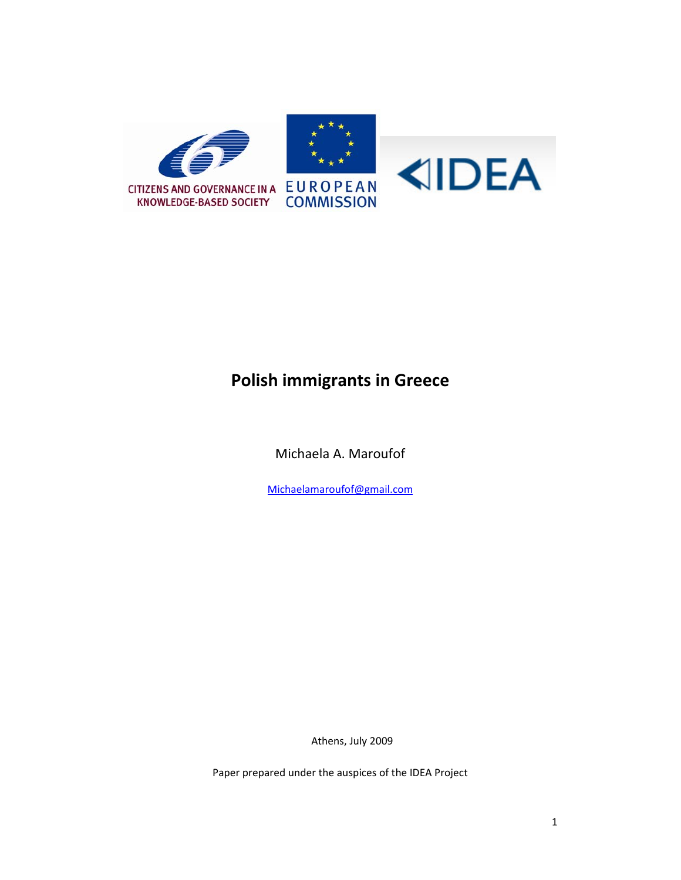

# **Polish immigrants in Greece**

Michaela A. Maroufof

Michaelamaroufof@gmail.com

Athens, July 2009

Paper prepared under the auspices of the IDEA Project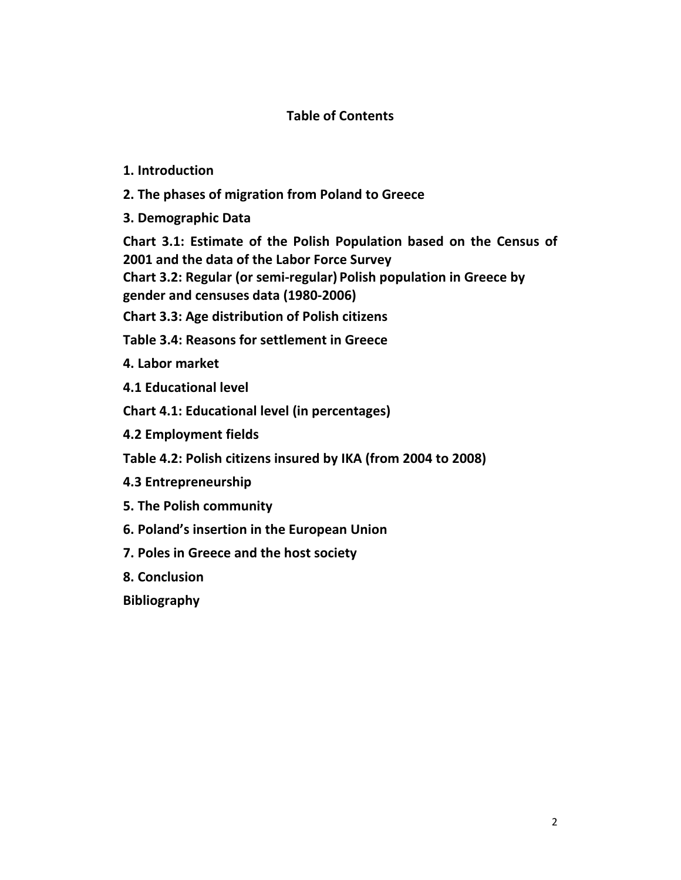# **Table of Contents**

# **1. Introduction**

- **2. The phases of migration from Poland to Greece**
- **3. Demographic Data**

**Chart 3.1: Estimate of the Polish Population based on the Census of 2001 and the data of the Labor Force Survey Chart 3.2: Regular (or semi‐regular) Polish population in Greece by gender and censuses data (1980‐2006)** 

**Chart 3.3: Age distribution of Polish citizens**

**Table 3.4: Reasons for settlement in Greece**

**4. Labor market** 

**4.1 Educational level** 

**Chart 4.1: Educational level (in percentages)** 

**4.2 Employment fields** 

**Table 4.2: Polish citizens insured by IKA (from 2004 to 2008)**

- **4.3 Entrepreneurship**
- **5. The Polish community**
- **6. Poland's insertion in the European Union**
- **7. Poles in Greece and the host society**
- **8. Conclusion**

**Bibliography**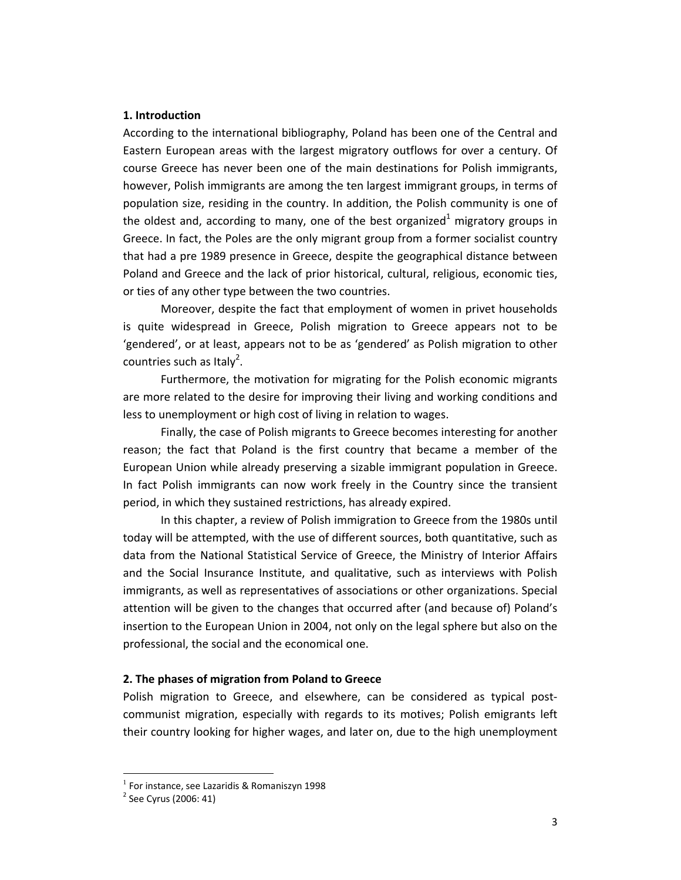#### **1. Introduction**

According to the international bibliography, Poland has been one of the Central and Eastern European areas with the largest migratory outflows for over a century. Of course Greece has never been one of the main destinations for Polish immigrants, however, Polish immigrants are among the ten largest immigrant groups, in terms of population size, residing in the country. In addition, the Polish community is one of the oldest and, according to many, one of the best organized<sup>1</sup> migratory groups in Greece. In fact, the Poles are the only migrant group from a former socialist country that had a pre 1989 presence in Greece, despite the geographical distance between Poland and Greece and the lack of prior historical, cultural, religious, economic ties, or ties of any other type between the two countries.

Moreover, despite the fact that employment of women in privet households is quite widespread in Greece, Polish migration to Greece appears not to be 'gendered', or at least, appears not to be as 'gendered' as Polish migration to other countries such as Italy<sup>2</sup>.

Furthermore, the motivation for migrating for the Polish economic migrants are more related to the desire for improving their living and working conditions and less to unemployment or high cost of living in relation to wages.

Finally, the case of Polish migrants to Greece becomes interesting for another reason; the fact that Poland is the first country that became a member of the European Union while already preserving a sizable immigrant population in Greece. In fact Polish immigrants can now work freely in the Country since the transient period, in which they sustained restrictions, has already expired.

In this chapter, a review of Polish immigration to Greece from the 1980s until today will be attempted, with the use of different sources, both quantitative, such as data from the National Statistical Service of Greece, the Ministry of Interior Affairs and the Social Insurance Institute, and qualitative, such as interviews with Polish immigrants, as well as representatives of associations or other organizations. Special attention will be given to the changes that occurred after (and because of) Poland's insertion to the European Union in 2004, not only on the legal sphere but also on the professional, the social and the economical one.

#### **2. The phases of migration from Poland to Greece**

Polish migration to Greece, and elsewhere, can be considered as typical post‐ communist migration, especially with regards to its motives; Polish emigrants left their country looking for higher wages, and later on, due to the high unemployment

<sup>&</sup>lt;sup>1</sup> For instance, see Lazaridis & Romaniszyn 1998<br><sup>2</sup> See Cyrus (2006: 41)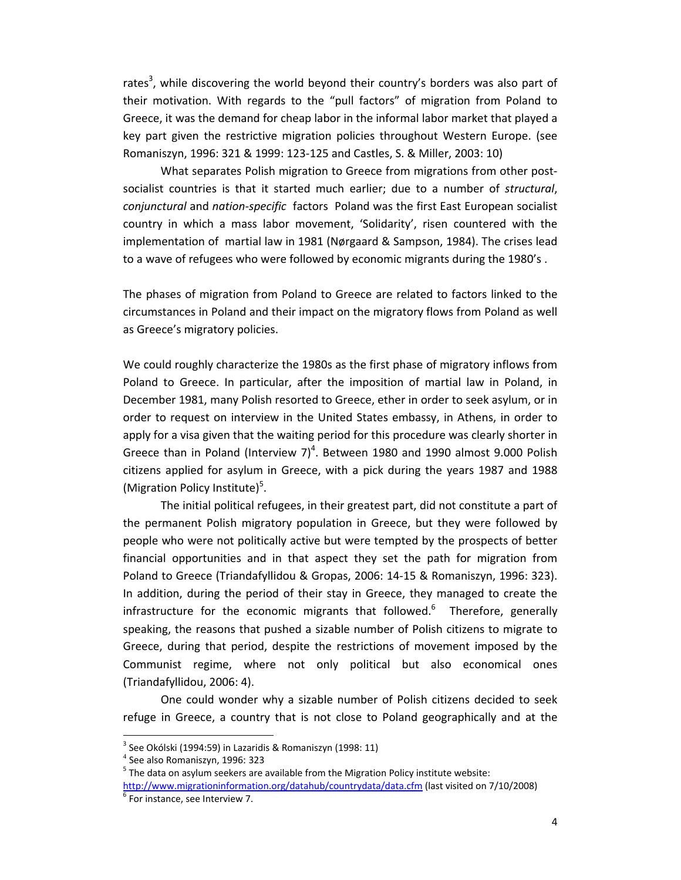rates<sup>3</sup>, while discovering the world beyond their country's borders was also part of their motivation. With regards to the "pull factors" of migration from Poland to Greece, it was the demand for cheap labor in the informal labor market that played a key part given the restrictive migration policies throughout Western Europe. (see Romaniszyn, 1996: 321 & 1999: 123‐125 and Castles, S. & Miller, 2003: 10)

What separates Polish migration to Greece from migrations from other postsocialist countries is that it started much earlier; due to a number of *structural*, *conjunctural* and *nation‐specific* factors Poland was the first East European socialist country in which a mass labor movement, 'Solidarity', risen countered with the implementation of martial law in 1981 (Nørgaard & Sampson, 1984). The crises lead to a wave of refugees who were followed by economic migrants during the 1980's .

The phases of migration from Poland to Greece are related to factors linked to the circumstances in Poland and their impact on the migratory flows from Poland as well as Greece's migratory policies.

We could roughly characterize the 1980s as the first phase of migratory inflows from Poland to Greece. In particular, after the imposition of martial law in Poland, in December 1981, many Polish resorted to Greece, ether in order to seek asylum, or in order to request on interview in the United States embassy, in Athens, in order to apply for a visa given that the waiting period for this procedure was clearly shorter in Greece than in Poland (Interview 7) $^4$ . Between 1980 and 1990 almost 9.000 Polish citizens applied for asylum in Greece, with a pick during the years 1987 and 1988 (Migration Policy Institute)<sup>5</sup>.

The initial political refugees, in their greatest part, did not constitute a part of the permanent Polish migratory population in Greece, but they were followed by people who were not politically active but were tempted by the prospects of better financial opportunities and in that aspect they set the path for migration from Poland to Greece (Triandafyllidou & Gropas, 2006: 14‐15 & Romaniszyn, 1996: 323). In addition, during the period of their stay in Greece, they managed to create the infrastructure for the economic migrants that followed.<sup>6</sup> Therefore, generally speaking, the reasons that pushed a sizable number of Polish citizens to migrate to Greece, during that period, despite the restrictions of movement imposed by the Communist regime, where not only political but also economical ones (Triandafyllidou, 2006: 4).

One could wonder why a sizable number of Polish citizens decided to seek refuge in Greece, a country that is not close to Poland geographically and at the

<sup>&</sup>lt;sup>3</sup> See Okólski (1994:59) in Lazaridis & Romaniszyn (1998: 11)<br><sup>4</sup> See also Romaniszyn, 1996: 323<br><sup>5</sup> The data on asylum seekers are available from the Migration Policy institute website:

http://www.migrationinformation.org/datahub/countrydata/data.cfm (last visited on 7/10/2008)<br><sup>6</sup> For instance, see Interview 7.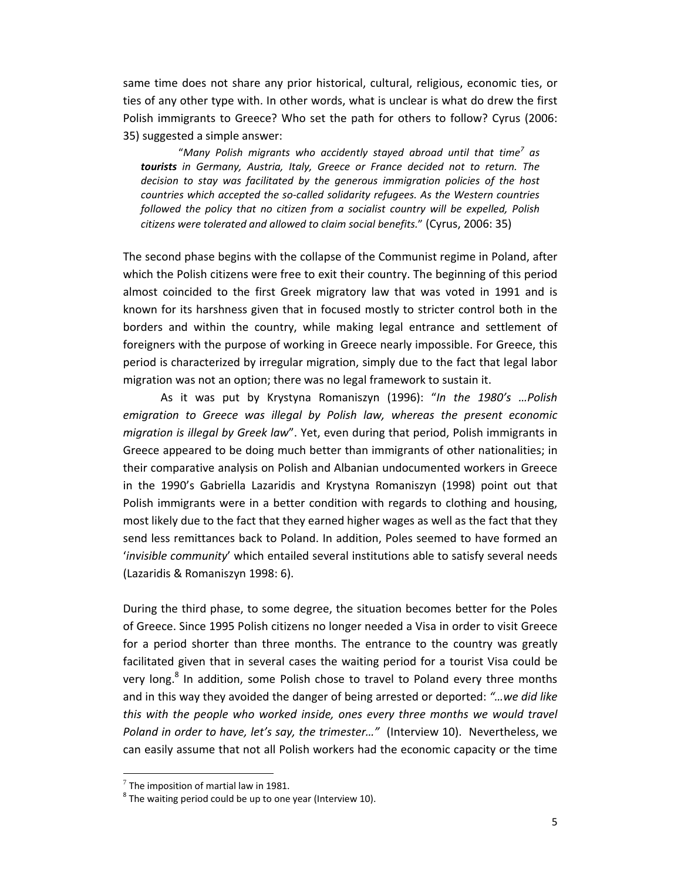same time does not share any prior historical, cultural, religious, economic ties, or ties of any other type with. In other words, what is unclear is what do drew the first Polish immigrants to Greece? Who set the path for others to follow? Cyrus (2006: 35) suggested a simple answer:

"*Many Polish migrants who accidently stayed abroad until that time<sup>7</sup> as tourists in Germany, Austria, Italy, Greece or France decided not to return. The decision to stay was facilitated by the generous immigration policies of the host countries which accepted the so‐called solidarity refugees. As the Western countries followed the policy that no citizen from a socialist country will be expelled, Polish citizens were tolerated and allowed to claim social benefits.*" (Cyrus, 2006: 35)

The second phase begins with the collapse of the Communist regime in Poland, after which the Polish citizens were free to exit their country. The beginning of this period almost coincided to the first Greek migratory law that was voted in 1991 and is known for its harshness given that in focused mostly to stricter control both in the borders and within the country, while making legal entrance and settlement of foreigners with the purpose of working in Greece nearly impossible. For Greece, this period is characterized by irregular migration, simply due to the fact that legal labor migration was not an option; there was no legal framework to sustain it.

As it was put by Krystyna Romaniszyn (1996): "*In the 1980's …Polish emigration to Greece was illegal by Polish law, whereas the present economic migration is illegal by Greek law*". Yet, even during that period, Polish immigrants in Greece appeared to be doing much better than immigrants of other nationalities; in their comparative analysis on Polish and Albanian undocumented workers in Greece in the 1990's Gabriella Lazaridis and Krystyna Romaniszyn (1998) point out that Polish immigrants were in a better condition with regards to clothing and housing, most likely due to the fact that they earned higher wages as well as the fact that they send less remittances back to Poland. In addition, Poles seemed to have formed an '*invisible community*' which entailed several institutions able to satisfy several needs (Lazaridis & Romaniszyn 1998: 6).

During the third phase, to some degree, the situation becomes better for the Poles of Greece. Since 1995 Polish citizens no longer needed a Visa in order to visit Greece for a period shorter than three months. The entrance to the country was greatly facilitated given that in several cases the waiting period for a tourist Visa could be very long.<sup>8</sup> In addition, some Polish chose to travel to Poland every three months and in this way they avoided the danger of being arrested or deported: *"…we did like this with the people who worked inside, ones every three months we would travel Poland in order to have, let's say, the trimester…"* (Interview 10). Nevertheless, we can easily assume that not all Polish workers had the economic capacity or the time

 $^7$  The imposition of martial law in 1981.<br>  $^8$  The waiting period could be up to one year (Interview 10).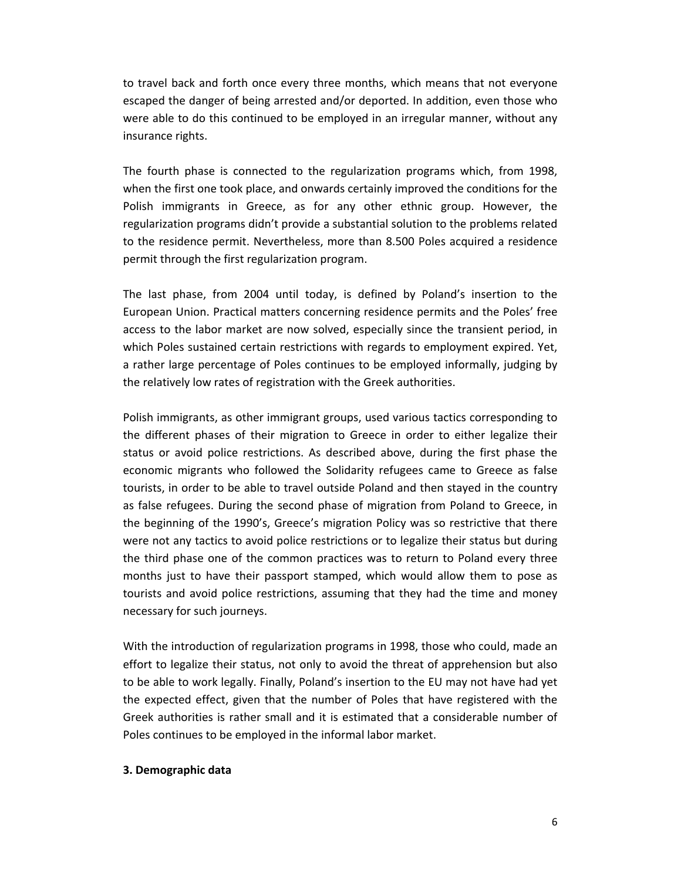to travel back and forth once every three months, which means that not everyone escaped the danger of being arrested and/or deported. In addition, even those who were able to do this continued to be employed in an irregular manner, without any insurance rights.

The fourth phase is connected to the regularization programs which, from 1998, when the first one took place, and onwards certainly improved the conditions for the Polish immigrants in Greece, as for any other ethnic group. However, the regularization programs didn't provide a substantial solution to the problems related to the residence permit. Nevertheless, more than 8.500 Poles acquired a residence permit through the first regularization program.

The last phase, from 2004 until today, is defined by Poland's insertion to the European Union. Practical matters concerning residence permits and the Poles' free access to the labor market are now solved, especially since the transient period, in which Poles sustained certain restrictions with regards to employment expired. Yet, a rather large percentage of Poles continues to be employed informally, judging by the relatively low rates of registration with the Greek authorities.

Polish immigrants, as other immigrant groups, used various tactics corresponding to the different phases of their migration to Greece in order to either legalize their status or avoid police restrictions. As described above, during the first phase the economic migrants who followed the Solidarity refugees came to Greece as false tourists, in order to be able to travel outside Poland and then stayed in the country as false refugees. During the second phase of migration from Poland to Greece, in the beginning of the 1990's, Greece's migration Policy was so restrictive that there were not any tactics to avoid police restrictions or to legalize their status but during the third phase one of the common practices was to return to Poland every three months just to have their passport stamped, which would allow them to pose as tourists and avoid police restrictions, assuming that they had the time and money necessary for such journeys.

With the introduction of regularization programs in 1998, those who could, made an effort to legalize their status, not only to avoid the threat of apprehension but also to be able to work legally. Finally, Poland's insertion to the EU may not have had yet the expected effect, given that the number of Poles that have registered with the Greek authorities is rather small and it is estimated that a considerable number of Poles continues to be employed in the informal labor market.

#### **3. Demographic data**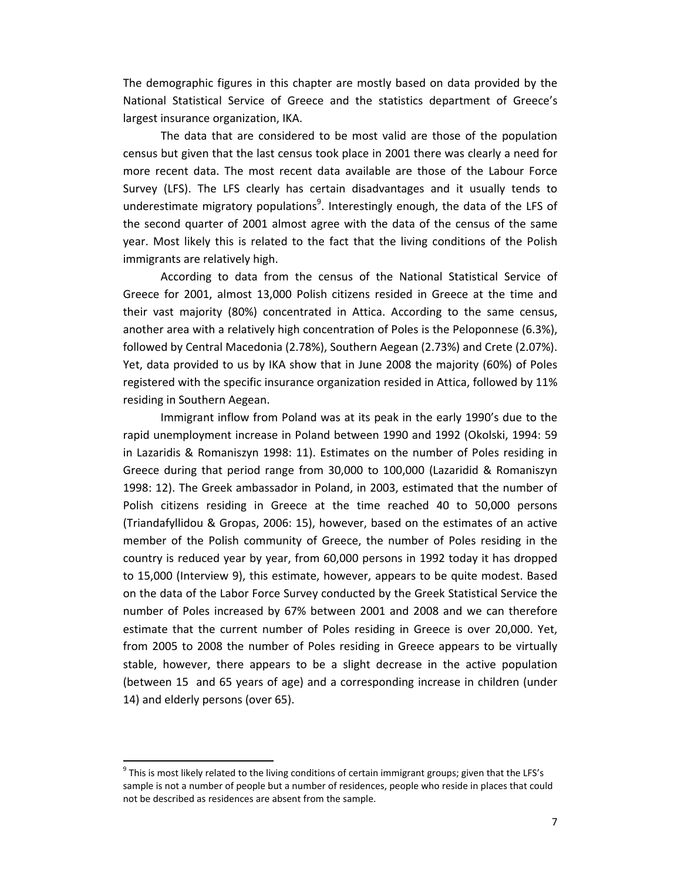The demographic figures in this chapter are mostly based on data provided by the National Statistical Service of Greece and the statistics department of Greece's largest insurance organization, IKA.

The data that are considered to be most valid are those of the population census but given that the last census took place in 2001 there was clearly a need for more recent data. The most recent data available are those of the Labour Force Survey (LFS). The LFS clearly has certain disadvantages and it usually tends to underestimate migratory populations<sup>9</sup>. Interestingly enough, the data of the LFS of the second quarter of 2001 almost agree with the data of the census of the same year. Most likely this is related to the fact that the living conditions of the Polish immigrants are relatively high.

According to data from the census of the National Statistical Service of Greece for 2001, almost 13,000 Polish citizens resided in Greece at the time and their vast majority (80%) concentrated in Attica. According to the same census, another area with a relatively high concentration of Poles is the Peloponnese (6.3%), followed by Central Macedonia (2.78%), Southern Aegean (2.73%) and Crete (2.07%). Yet, data provided to us by IKA show that in June 2008 the majority (60%) of Poles registered with the specific insurance organization resided in Attica, followed by 11% residing in Southern Aegean.

Immigrant inflow from Poland was at its peak in the early 1990's due to the rapid unemployment increase in Poland between 1990 and 1992 (Okolski, 1994: 59 in Lazaridis & Romaniszyn 1998: 11). Estimates on the number of Poles residing in Greece during that period range from 30,000 to 100,000 (Lazaridid & Romaniszyn 1998: 12). The Greek ambassador in Poland, in 2003, estimated that the number of Polish citizens residing in Greece at the time reached 40 to 50,000 persons (Triandafyllidou & Gropas, 2006: 15), however, based on the estimates of an active member of the Polish community of Greece, the number of Poles residing in the country is reduced year by year, from 60,000 persons in 1992 today it has dropped to 15,000 (Interview 9), this estimate, however, appears to be quite modest. Based on the data of the Labor Force Survey conducted by the Greek Statistical Service the number of Poles increased by 67% between 2001 and 2008 and we can therefore estimate that the current number of Poles residing in Greece is over 20,000. Yet, from 2005 to 2008 the number of Poles residing in Greece appears to be virtually stable, however, there appears to be a slight decrease in the active population (between 15 and 65 years of age) and a corresponding increase in children (under 14) and elderly persons (over 65).

<sup>&</sup>lt;sup>9</sup> This is most likely related to the living conditions of certain immigrant groups; given that the LFS's sample is not a number of people but a number of residences, people who reside in places that could not be described as residences are absent from the sample.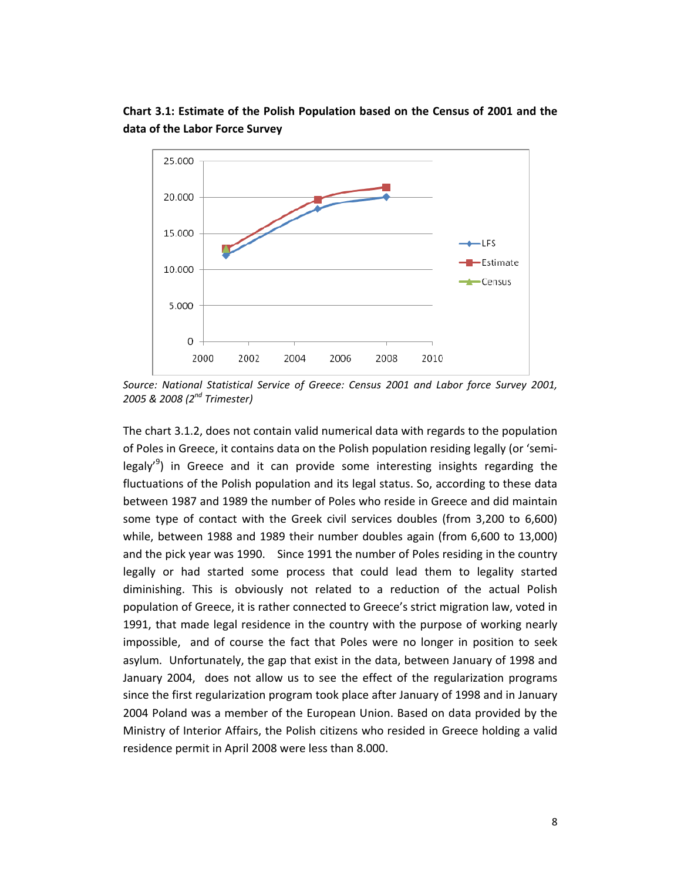

**Chart 3.1: Estimate of the Polish Population based on the Census of 2001 and the data of the Labor Force Survey**

*Source: National Statistical Service of Greece: Census 2001 and Labor force Survey 2001, 2005 & 2008 (2nd Trimester)* 

The chart 3.1.2, does not contain valid numerical data with regards to the population of Poles in Greece, it contains data on the Polish population residing legally (or 'semi‐ legaly<sup>'9</sup>) in Greece and it can provide some interesting insights regarding the fluctuations of the Polish population and its legal status. So, according to these data between 1987 and 1989 the number of Poles who reside in Greece and did maintain some type of contact with the Greek civil services doubles (from 3,200 to 6,600) while, between 1988 and 1989 their number doubles again (from 6,600 to 13,000) and the pick year was 1990. Since 1991 the number of Poles residing in the country legally or had started some process that could lead them to legality started diminishing. This is obviously not related to a reduction of the actual Polish population of Greece, it is rather connected to Greece's strict migration law, voted in 1991, that made legal residence in the country with the purpose of working nearly impossible, and of course the fact that Poles were no longer in position to seek asylum. Unfortunately, the gap that exist in the data, between January of 1998 and January 2004, does not allow us to see the effect of the regularization programs since the first regularization program took place after January of 1998 and in January 2004 Poland was a member of the European Union. Based on data provided by the Ministry of Interior Affairs, the Polish citizens who resided in Greece holding a valid residence permit in April 2008 were less than 8.000.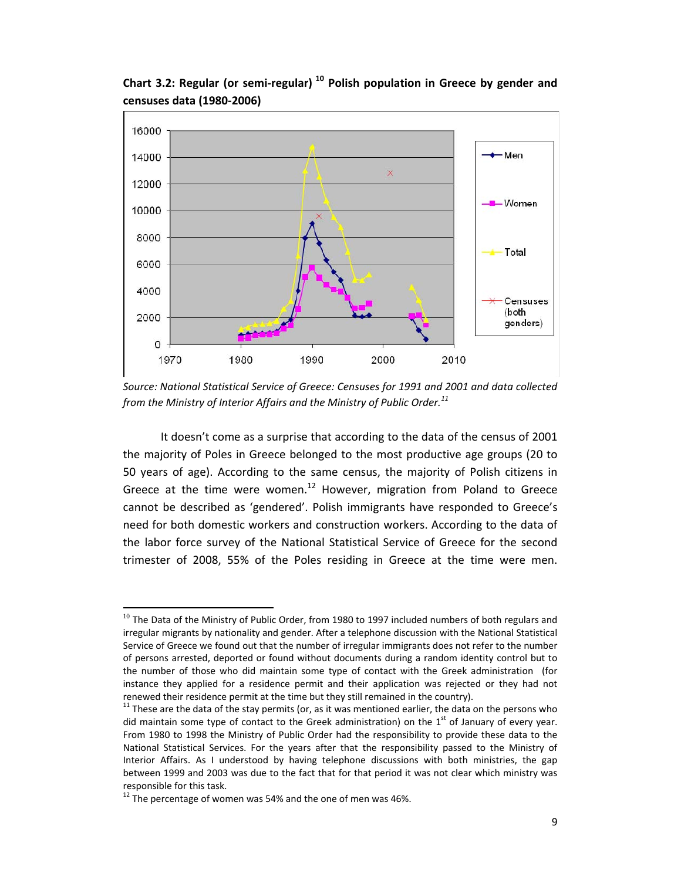

**Chart 3.2: Regular (or semi‐regular) <sup>10</sup> Polish population in Greece by gender and censuses data (1980‐2006)**

*Source: National Statistical Service of Greece: Censuses for 1991 and 2001 and data collected from the Ministry of Interior Affairs and the Ministry of Public Order.<sup>11</sup>* 

It doesn't come as a surprise that according to the data of the census of 2001 the majority of Poles in Greece belonged to the most productive age groups (20 to 50 years of age). According to the same census, the majority of Polish citizens in Greece at the time were women.<sup>12</sup> However, migration from Poland to Greece cannot be described as 'gendered'. Polish immigrants have responded to Greece's need for both domestic workers and construction workers. According to the data of the labor force survey of the National Statistical Service of Greece for the second trimester of 2008, 55% of the Poles residing in Greece at the time were men.

 $^{10}$  The Data of the Ministry of Public Order, from 1980 to 1997 included numbers of both regulars and irregular migrants by nationality and gender. After a telephone discussion with the National Statistical Service of Greece we found out that the number of irregular immigrants does not refer to the number of persons arrested, deported or found without documents during a random identity control but to the number of those who did maintain some type of contact with the Greek administration (for instance they applied for a residence permit and their application was rejected or they had not renewed their residence permit at the time but they still remained in the country).<br><sup>11</sup> These are the data of the stay permits (or, as it was mentioned earlier, the data on the persons who

did maintain some type of contact to the Greek administration) on the  $1<sup>st</sup>$  of January of every year. From 1980 to 1998 the Ministry of Public Order had the responsibility to provide these data to the National Statistical Services. For the years after that the responsibility passed to the Ministry of Interior Affairs. As I understood by having telephone discussions with both ministries, the gap between 1999 and 2003 was due to the fact that for that period it was not clear which ministry was responsible for this task.<br><sup>12</sup> The percentage of women was 54% and the one of men was 46%.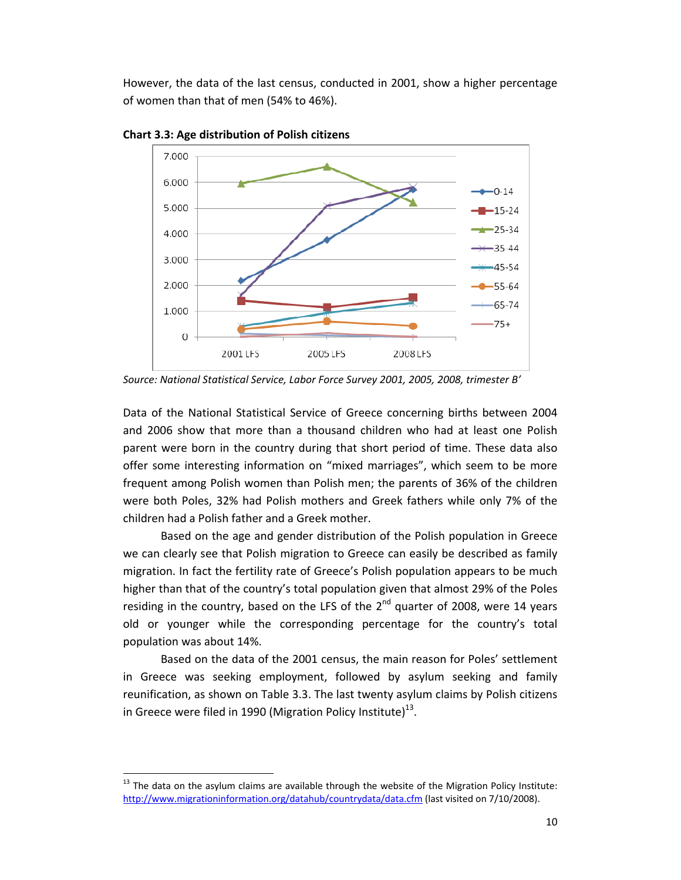However, the data of the last census, conducted in 2001, show a higher percentage of women than that of men (54% to 46%).



**Chart 3.3: Age distribution of Polish citizens** 

*Source: National Statistical Service, Labor Force Survey 2001, 2005, 2008, trimester B'* 

Data of the National Statistical Service of Greece concerning births between 2004 and 2006 show that more than a thousand children who had at least one Polish parent were born in the country during that short period of time. These data also offer some interesting information on "mixed marriages", which seem to be more frequent among Polish women than Polish men; the parents of 36% of the children were both Poles, 32% had Polish mothers and Greek fathers while only 7% of the children had a Polish father and a Greek mother.

Based on the age and gender distribution of the Polish population in Greece we can clearly see that Polish migration to Greece can easily be described as family migration. In fact the fertility rate of Greece's Polish population appears to be much higher than that of the country's total population given that almost 29% of the Poles residing in the country, based on the LFS of the  $2^{nd}$  quarter of 2008, were 14 years old or younger while the corresponding percentage for the country's total population was about 14%.

Based on the data of the 2001 census, the main reason for Poles' settlement in Greece was seeking employment, followed by asylum seeking and family reunification, as shown on Table 3.3. The last twenty asylum claims by Polish citizens in Greece were filed in 1990 (Migration Policy Institute)<sup>13</sup>.

 $13$  The data on the asylum claims are available through the website of the Migration Policy Institute: http://www.migrationinformation.org/datahub/countrydata/data.cfm (last visited on 7/10/2008).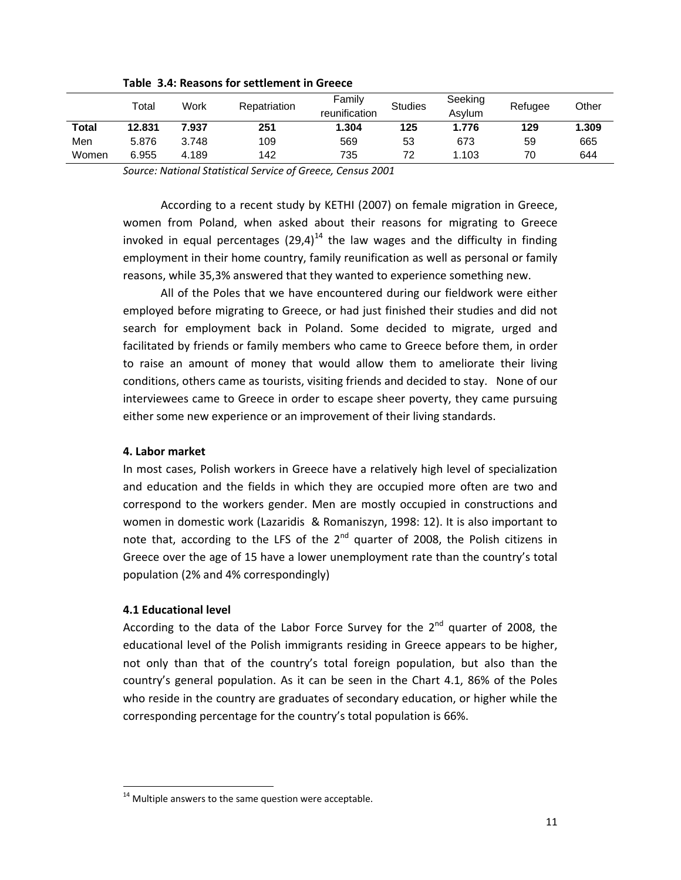|       | Totai  | Work  | Repatriation | Family<br>reunification | <b>Studies</b> | Seeking<br>Asvlum | Refugee | Other |
|-------|--------|-------|--------------|-------------------------|----------------|-------------------|---------|-------|
| Total | 12.831 | 7.937 | 251          | 1.304                   | 125            | 1.776             | 129     | 1.309 |
| Men   | 5.876  | 3.748 | 109          | 569                     | 53             | 673               | 59      | 665   |
| Women | 6.955  | 4.189 | 142          | 735                     | 72             | 1.103             | 70      | 644   |

**Table 3.4: Reasons for settlement in Greece** 

*Source: National Statistical Service of Greece, Census 2001*

According to a recent study by KETHI (2007) on female migration in Greece, women from Poland, when asked about their reasons for migrating to Greece invoked in equal percentages  $(29.4)^{14}$  the law wages and the difficulty in finding employment in their home country, family reunification as well as personal or family reasons, while 35,3% answered that they wanted to experience something new.

All of the Poles that we have encountered during our fieldwork were either employed before migrating to Greece, or had just finished their studies and did not search for employment back in Poland. Some decided to migrate, urged and facilitated by friends or family members who came to Greece before them, in order to raise an amount of money that would allow them to ameliorate their living conditions, others came as tourists, visiting friends and decided to stay. None of our interviewees came to Greece in order to escape sheer poverty, they came pursuing either some new experience or an improvement of their living standards.

#### **4. Labor market**

In most cases, Polish workers in Greece have a relatively high level of specialization and education and the fields in which they are occupied more often are two and correspond to the workers gender. Men are mostly occupied in constructions and women in domestic work (Lazaridis & Romaniszyn, 1998: 12). It is also important to note that, according to the LFS of the  $2^{nd}$  quarter of 2008, the Polish citizens in Greece over the age of 15 have a lower unemployment rate than the country's total population (2% and 4% correspondingly)

## **4.1 Educational level**

According to the data of the Labor Force Survey for the  $2^{nd}$  quarter of 2008, the educational level of the Polish immigrants residing in Greece appears to be higher, not only than that of the country's total foreign population, but also than the country's general population. As it can be seen in the Chart 4.1, 86% of the Poles who reside in the country are graduates of secondary education, or higher while the corresponding percentage for the country's total population is 66%.

 $14$  Multiple answers to the same question were acceptable.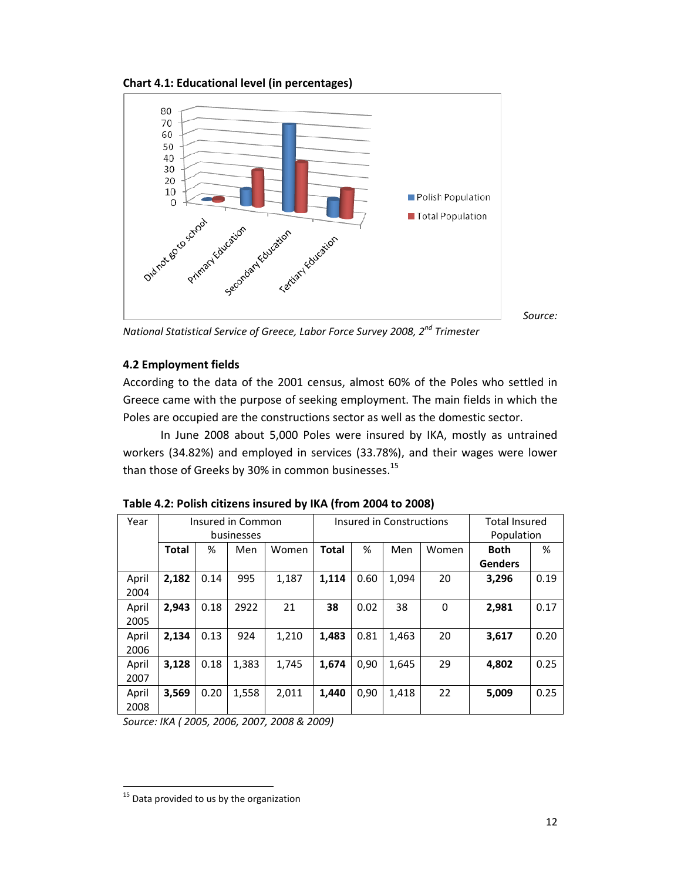**Chart 4.1: Educational level (in percentages)** 



*National Statistical Service of Greece, Labor Force Survey 2008, 2nd Trimester*

# **4.2 Employment fields**

According to the data of the 2001 census, almost 60% of the Poles who settled in Greece came with the purpose of seeking employment. The main fields in which the Poles are occupied are the constructions sector as well as the domestic sector.

In June 2008 about 5,000 Poles were insured by IKA, mostly as untrained workers (34.82%) and employed in services (33.78%), and their wages were lower than those of Greeks by 30% in common businesses.<sup>15</sup>

| Year  | Insured in Common |      |       |       | Insured in Constructions |      |       |          | <b>Total Insured</b> |      |
|-------|-------------------|------|-------|-------|--------------------------|------|-------|----------|----------------------|------|
|       | businesses        |      |       |       |                          |      |       |          | Population           |      |
|       | <b>Total</b>      | %    | Men   | Women | <b>Total</b>             | %    | Men   | Women    | <b>Both</b>          | %    |
|       |                   |      |       |       |                          |      |       |          | <b>Genders</b>       |      |
| April | 2,182             | 0.14 | 995   | 1,187 | 1,114                    | 0.60 | 1,094 | 20       | 3,296                | 0.19 |
| 2004  |                   |      |       |       |                          |      |       |          |                      |      |
| April | 2,943             | 0.18 | 2922  | 21    | 38                       | 0.02 | 38    | $\Omega$ | 2,981                | 0.17 |
| 2005  |                   |      |       |       |                          |      |       |          |                      |      |
| April | 2,134             | 0.13 | 924   | 1,210 | 1,483                    | 0.81 | 1,463 | 20       | 3,617                | 0.20 |
| 2006  |                   |      |       |       |                          |      |       |          |                      |      |
| April | 3,128             | 0.18 | 1,383 | 1,745 | 1,674                    | 0,90 | 1,645 | 29       | 4,802                | 0.25 |
| 2007  |                   |      |       |       |                          |      |       |          |                      |      |
| April | 3,569             | 0.20 | 1,558 | 2,011 | 1.440                    | 0.90 | 1,418 | 22       | 5,009                | 0.25 |
| 2008  |                   |      |       |       |                          |      |       |          |                      |      |

**Table 4.2: Polish citizens insured by IKA (from 2004 to 2008)** 

*Source: ΙΚΑ ( 2005, 2006, 2007, 2008 & 2009)*

<sup>&</sup>lt;sup>15</sup> Data provided to us by the organization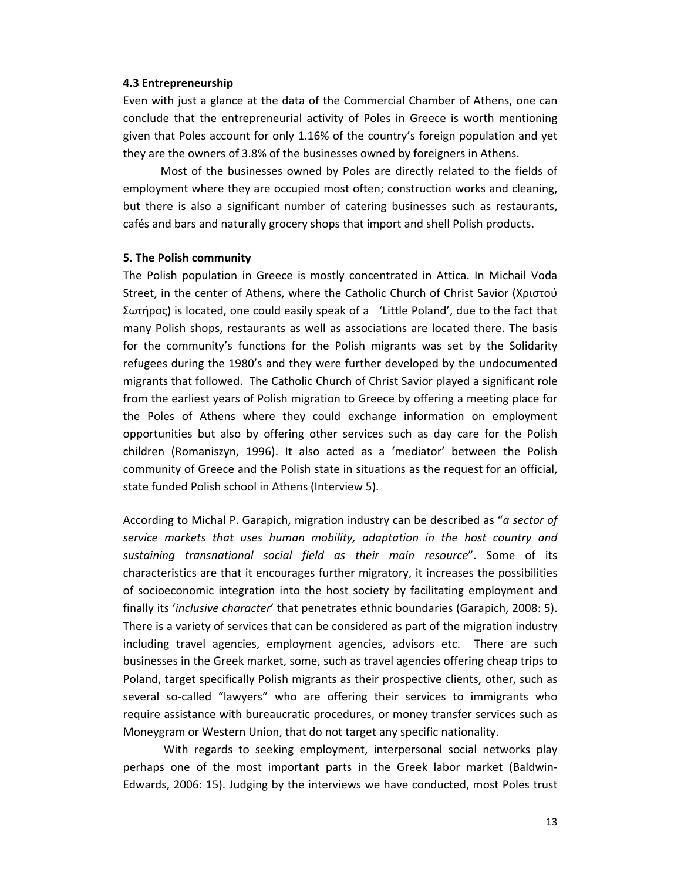#### **4.3 Entrepreneurship**

Even with just a glance at the data of the Commercial Chamber of Athens, one can conclude that the entrepreneurial activity of Poles in Greece is worth mentioning given that Poles account for only 1.16% of the country's foreign population and yet they are the owners of 3.8% of the businesses owned by foreigners in Athens.

Most of the businesses owned by Poles are directly related to the fields of employment where they are occupied most often; construction works and cleaning, but there is also a significant number of catering businesses such as restaurants, cafés and bars and naturally grocery shops that import and shell Polish products.

#### **5. The Polish community**

The Polish population in Greece is mostly concentrated in Attica. In Michail Voda Street, in the center of Athens, where the Catholic Church of Christ Savior (Χριστού Σωτήρος) is located, one could easily speak of a 'Little Poland', due to the fact that many Polish shops, restaurants as well as associations are located there. The basis for the community's functions for the Polish migrants was set by the Solidarity refugees during the 1980's and they were further developed by the undocumented migrants that followed. The Catholic Church of Christ Savior played a significant role from the earliest years of Polish migration to Greece by offering a meeting place for the Poles of Athens where they could exchange information on employment opportunities but also by offering other services such as day care for the Polish children (Romaniszyn, 1996). It also acted as a 'mediator' between the Polish community of Greece and the Polish state in situations as the request for an official, state funded Polish school in Athens (Interview 5).

According to Michal P. Garapich, migration industry can be described as "*a sector of service markets that uses human mobility, adaptation in the host country and sustaining transnational social field as their main resource*". Some of its characteristics are that it encourages further migratory, it increases the possibilities of socioeconomic integration into the host society by facilitating employment and finally its '*inclusive character*' that penetrates ethnic boundaries (Garapich, 2008: 5). There is a variety of services that can be considered as part of the migration industry including travel agencies, employment agencies, advisors etc. There are such businesses in the Greek market, some, such as travel agencies offering cheap trips to Poland, target specifically Polish migrants as their prospective clients, other, such as several so-called "lawyers" who are offering their services to immigrants who require assistance with bureaucratic procedures, or money transfer services such as Moneygram or Western Union, that do not target any specific nationality.

 With regards to seeking employment, interpersonal social networks play perhaps one of the most important parts in the Greek labor market (Baldwin‐ Edwards, 2006: 15). Judging by the interviews we have conducted, most Poles trust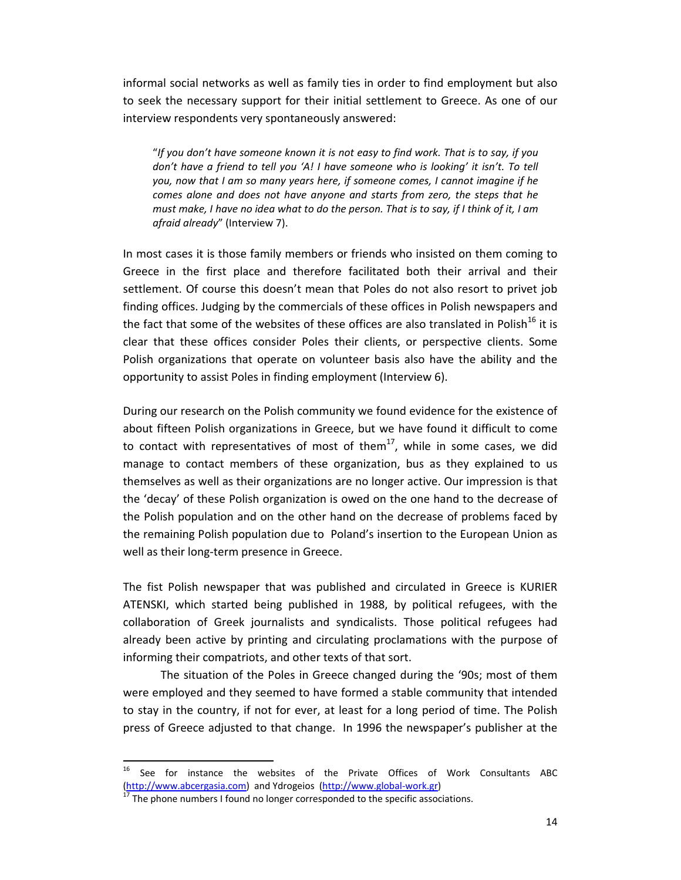informal social networks as well as family ties in order to find employment but also to seek the necessary support for their initial settlement to Greece. As one of our interview respondents very spontaneously answered:

"*If you don't have someone known it is not easy to find work. That is to say, if you don't have a friend to tell you 'A! I have someone who is looking' it isn't. To tell you, now that I am so many years here, if someone comes, I cannot imagine if he comes alone and does not have anyone and starts from zero, the steps that he* must make, I have no idea what to do the person. That is to say, if I think of it, I am *afraid already*" (Interview 7).

In most cases it is those family members or friends who insisted on them coming to Greece in the first place and therefore facilitated both their arrival and their settlement. Of course this doesn't mean that Poles do not also resort to privet job finding offices. Judging by the commercials of these offices in Polish newspapers and the fact that some of the websites of these offices are also translated in Polish<sup>16</sup> it is clear that these offices consider Poles their clients, or perspective clients. Some Polish organizations that operate on volunteer basis also have the ability and the opportunity to assist Poles in finding employment (Interview 6).

During our research on the Polish community we found evidence for the existence of about fifteen Polish organizations in Greece, but we have found it difficult to come to contact with representatives of most of them<sup>17</sup>, while in some cases, we did manage to contact members of these organization, bus as they explained to us themselves as well as their organizations are no longer active. Our impression is that the 'decay' of these Polish organization is owed on the one hand to the decrease of the Polish population and on the other hand on the decrease of problems faced by the remaining Polish population due to Poland's insertion to the European Union as well as their long-term presence in Greece.

The fist Polish newspaper that was published and circulated in Greece is KURIER ATENSKI, which started being published in 1988, by political refugees, with the collaboration of Greek journalists and syndicalists. Those political refugees had already been active by printing and circulating proclamations with the purpose of informing their compatriots, and other texts of that sort.

The situation of the Poles in Greece changed during the '90s; most of them were employed and they seemed to have formed a stable community that intended to stay in the country, if not for ever, at least for a long period of time. The Polish press of Greece adjusted to that change. In 1996 the newspaper's publisher at the

<sup>&</sup>lt;sup>16</sup> See for instance the websites of the Private Offices of Work Consultants ABC (http://www.abcergasia.com) and Ydrogeios (http://www.global-work.gr)<br><sup>17</sup> The phone numbers I found no longer corresponded to the specific associations.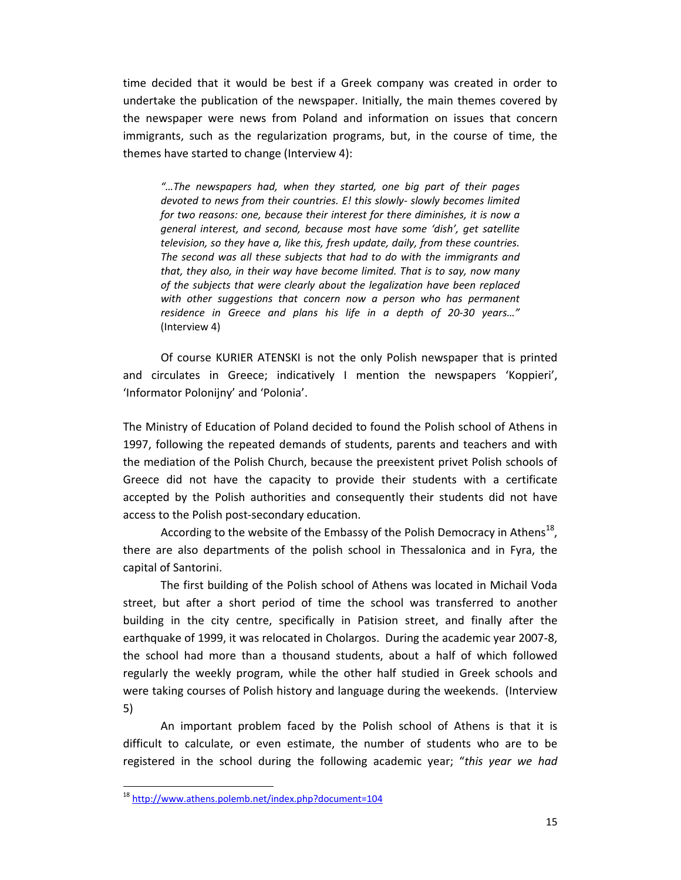time decided that it would be best if a Greek company was created in order to undertake the publication of the newspaper. Initially, the main themes covered by the newspaper were news from Poland and information on issues that concern immigrants, such as the regularization programs, but, in the course of time, the themes have started to change (Interview 4):

*"…The newspapers had, when they started, one big part of their pages devoted to news from their countries. E! this slowly‐ slowly becomes limited for two reasons: one, because their interest for there diminishes, it is now a general interest, and second, because most have some 'dish', get satellite television, so they have a, like this, fresh update, daily, from these countries. The second was all these subjects that had to do with the immigrants and that, they also, in their way have become limited. That is to say, now many of the subjects that were clearly about the legalization have been replaced with other suggestions that concern now a person who has permanent residence in Greece and plans his life in a depth of 20‐30 years…"*  (Interview 4)

Of course KURIER ATENSKI is not the only Polish newspaper that is printed and circulates in Greece; indicatively I mention the newspapers 'Koppieri', 'Informator Polonijny' and 'Polonia'.

The Ministry of Education of Poland decided to found the Polish school of Athens in 1997, following the repeated demands of students, parents and teachers and with the mediation of the Polish Church, because the preexistent privet Polish schools of Greece did not have the capacity to provide their students with a certificate accepted by the Polish authorities and consequently their students did not have access to the Polish post‐secondary education.

According to the website of the Embassy of the Polish Democracy in Athens<sup>18</sup>, there are also departments of the polish school in Thessalonica and in Fyra, the capital of Santorini.

The first building of the Polish school of Athens was located in Michail Voda street, but after a short period of time the school was transferred to another building in the city centre, specifically in Patision street, and finally after the earthquake of 1999, it was relocated in Cholargos. During the academic year 2007‐8, the school had more than a thousand students, about a half of which followed regularly the weekly program, while the other half studied in Greek schools and were taking courses of Polish history and language during the weekends. (Interview 5)

An important problem faced by the Polish school of Athens is that it is difficult to calculate, or even estimate, the number of students who are to be registered in the school during the following academic year; "*this year we had*

<sup>18</sup> http://www.athens.polemb.net/index.php?document=104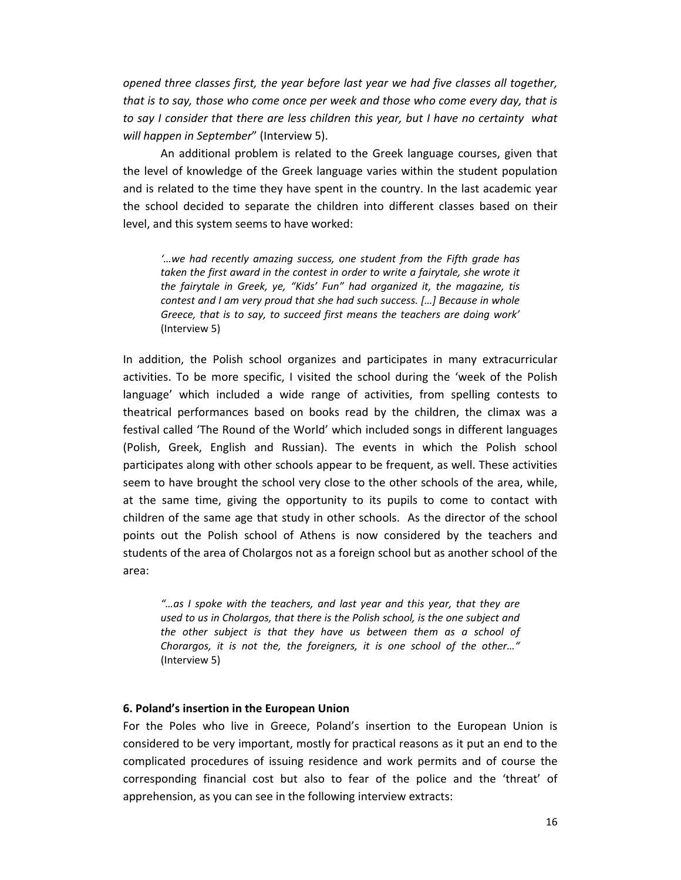*opened three classes first, the year before last year we had five classes all together, that is to say, those who come once per week and those who come every day, that is to say I consider that there are less children this year, but I have no certainty what will happen in September*" (Interview 5).

An additional problem is related to the Greek language courses, given that the level of knowledge of the Greek language varies within the student population and is related to the time they have spent in the country. In the last academic year the school decided to separate the children into different classes based on their level, and this system seems to have worked:

*'…we had recently amazing success, one student from the Fifth grade has taken the first award in the contest in order to write a fairytale, she wrote it the fairytale in Greek, ye, "Kids' Fun" had organized it, the magazine, tis contest and I am very proud that she had such success. […] Because in whole Greece, that is to say, to succeed first means the teachers are doing work'*  (Interview 5)

In addition, the Polish school organizes and participates in many extracurricular activities. To be more specific, I visited the school during the 'week of the Polish language' which included a wide range of activities, from spelling contests to theatrical performances based on books read by the children, the climax was a festival called 'The Round of the World' which included songs in different languages (Polish, Greek, English and Russian). The events in which the Polish school participates along with other schools appear to be frequent, as well. These activities seem to have brought the school very close to the other schools of the area, while, at the same time, giving the opportunity to its pupils to come to contact with children of the same age that study in other schools. As the director of the school points out the Polish school of Athens is now considered by the teachers and students of the area of Cholargos not as a foreign school but as another school of the area:

*"…as I spoke with the teachers, and last year and this year, that they are used to us in Cholargos, that there is the Polish school, is the one subject and the other subject is that they have us between them as a school of Chorargos, it is not the, the foreigners, it is one school of the other…"* (Interview 5)

#### **6. Poland's insertion in the European Union**

For the Poles who live in Greece, Poland's insertion to the European Union is considered to be very important, mostly for practical reasons as it put an end to the complicated procedures of issuing residence and work permits and of course the corresponding financial cost but also to fear of the police and the 'threat' of apprehension, as you can see in the following interview extracts: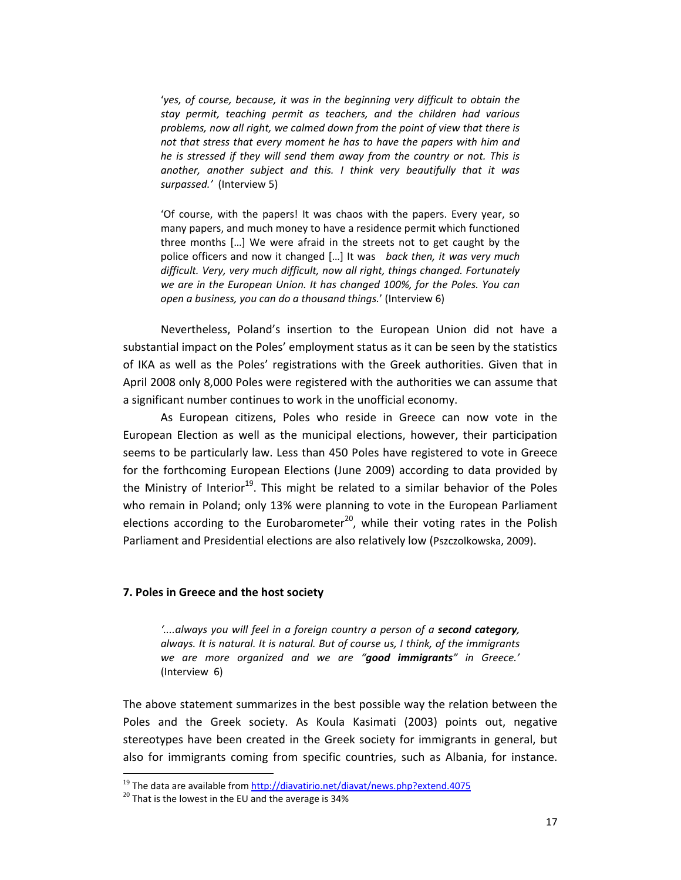'*yes, of course, because, it was in the beginning very difficult to obtain the stay permit, teaching permit as teachers, and the children had various problems, now all right, we calmed down from the point of view that there is not that stress that every moment he has to have the papers with him and he is stressed if they will send them away from the country or not. This is another, another subject and this. I think very beautifully that it was surpassed.'* (Interview 5)

'Of course, with the papers! It was chaos with the papers. Every year, so many papers, and much money to have a residence permit which functioned three months […] We were afraid in the streets not to get caught by the police officers and now it changed […] It was *back then, it was very much difficult. Very, very much difficult, now all right, things changed. Fortunately we are in the European Union. It has changed 100%, for the Poles. You can open a business, you can do a thousand things.*' (Interview 6)

Nevertheless, Poland's insertion to the European Union did not have a substantial impact on the Poles' employment status as it can be seen by the statistics of IKA as well as the Poles' registrations with the Greek authorities. Given that in April 2008 only 8,000 Poles were registered with the authorities we can assume that a significant number continues to work in the unofficial economy.

As European citizens, Poles who reside in Greece can now vote in the European Election as well as the municipal elections, however, their participation seems to be particularly law. Less than 450 Poles have registered to vote in Greece for the forthcoming European Elections (June 2009) according to data provided by the Ministry of Interior<sup>19</sup>. This might be related to a similar behavior of the Poles who remain in Poland; only 13% were planning to vote in the European Parliament elections according to the Eurobarometer<sup>20</sup>, while their voting rates in the Polish Parliament and Presidential elections are also relatively low (Pszczolkowska, 2009).

#### **7. Poles in Greece and the host society**

*'....always you will feel in a foreign country a person of a second category, always. It is natural. It is natural. But of course us, I think, of the immigrants we are more organized and we are "good immigrants" in Greece.'* (Interview 6)

The above statement summarizes in the best possible way the relation between the Poles and the Greek society. As Koula Kasimati (2003) points out, negative stereotypes have been created in the Greek society for immigrants in general, but also for immigrants coming from specific countries, such as Albania, for instance.

<sup>19</sup> The data are available from http://diavatirio.net/diavat/news.php?extend.4075 <sup>20</sup> That is the lowest in the EU and the average is 34%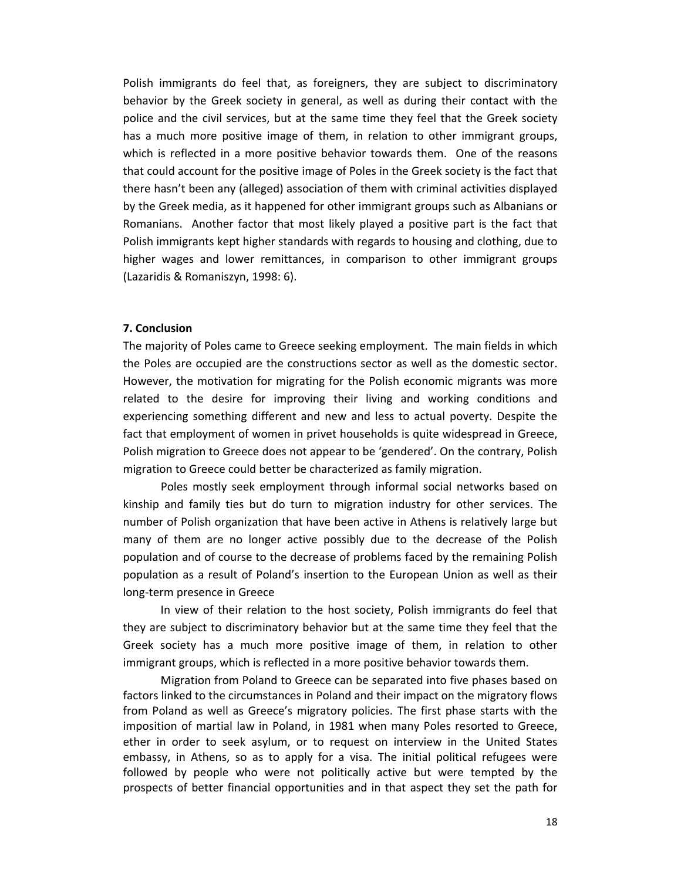Polish immigrants do feel that, as foreigners, they are subject to discriminatory behavior by the Greek society in general, as well as during their contact with the police and the civil services, but at the same time they feel that the Greek society has a much more positive image of them, in relation to other immigrant groups, which is reflected in a more positive behavior towards them. One of the reasons that could account for the positive image of Poles in the Greek society is the fact that there hasn't been any (alleged) association of them with criminal activities displayed by the Greek media, as it happened for other immigrant groups such as Albanians or Romanians. Another factor that most likely played a positive part is the fact that Polish immigrants kept higher standards with regards to housing and clothing, due to higher wages and lower remittances, in comparison to other immigrant groups (Lazaridis & Romaniszyn, 1998: 6).

#### **7. Conclusion**

The majority of Poles came to Greece seeking employment. The main fields in which the Poles are occupied are the constructions sector as well as the domestic sector. However, the motivation for migrating for the Polish economic migrants was more related to the desire for improving their living and working conditions and experiencing something different and new and less to actual poverty. Despite the fact that employment of women in privet households is quite widespread in Greece, Polish migration to Greece does not appear to be 'gendered'. On the contrary, Polish migration to Greece could better be characterized as family migration.

Poles mostly seek employment through informal social networks based on kinship and family ties but do turn to migration industry for other services. The number of Polish organization that have been active in Athens is relatively large but many of them are no longer active possibly due to the decrease of the Polish population and of course to the decrease of problems faced by the remaining Polish population as a result of Poland's insertion to the European Union as well as their long‐term presence in Greece

In view of their relation to the host society, Polish immigrants do feel that they are subject to discriminatory behavior but at the same time they feel that the Greek society has a much more positive image of them, in relation to other immigrant groups, which is reflected in a more positive behavior towards them.

Migration from Poland to Greece can be separated into five phases based on factors linked to the circumstances in Poland and their impact on the migratory flows from Poland as well as Greece's migratory policies. The first phase starts with the imposition of martial law in Poland, in 1981 when many Poles resorted to Greece, ether in order to seek asylum, or to request on interview in the United States embassy, in Athens, so as to apply for a visa. The initial political refugees were followed by people who were not politically active but were tempted by the prospects of better financial opportunities and in that aspect they set the path for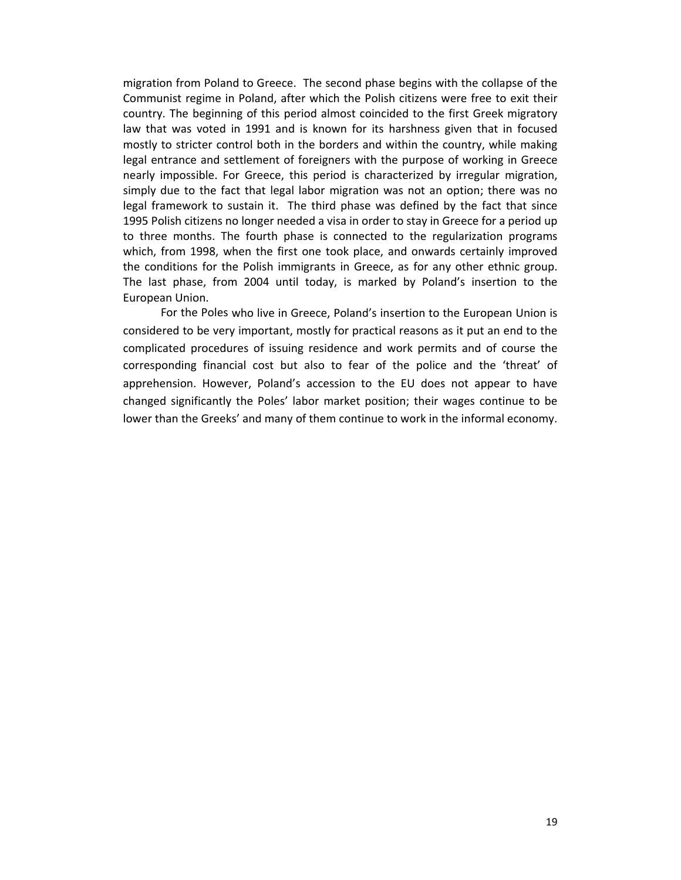migration from Poland to Greece. The second phase begins with the collapse of the Communist regime in Poland, after which the Polish citizens were free to exit their country. The beginning of this period almost coincided to the first Greek migratory law that was voted in 1991 and is known for its harshness given that in focused mostly to stricter control both in the borders and within the country, while making legal entrance and settlement of foreigners with the purpose of working in Greece nearly impossible. For Greece, this period is characterized by irregular migration, simply due to the fact that legal labor migration was not an option; there was no legal framework to sustain it. The third phase was defined by the fact that since 1995 Polish citizens no longer needed a visa in order to stay in Greece for a period up to three months. The fourth phase is connected to the regularization programs which, from 1998, when the first one took place, and onwards certainly improved the conditions for the Polish immigrants in Greece, as for any other ethnic group. The last phase, from 2004 until today, is marked by Poland's insertion to the European Union.

For the Poles who live in Greece, Poland's insertion to the European Union is considered to be very important, mostly for practical reasons as it put an end to the complicated procedures of issuing residence and work permits and of course the corresponding financial cost but also to fear of the police and the 'threat' of apprehension. However, Poland's accession to the EU does not appear to have changed significantly the Poles' labor market position; their wages continue to be lower than the Greeks' and many of them continue to work in the informal economy.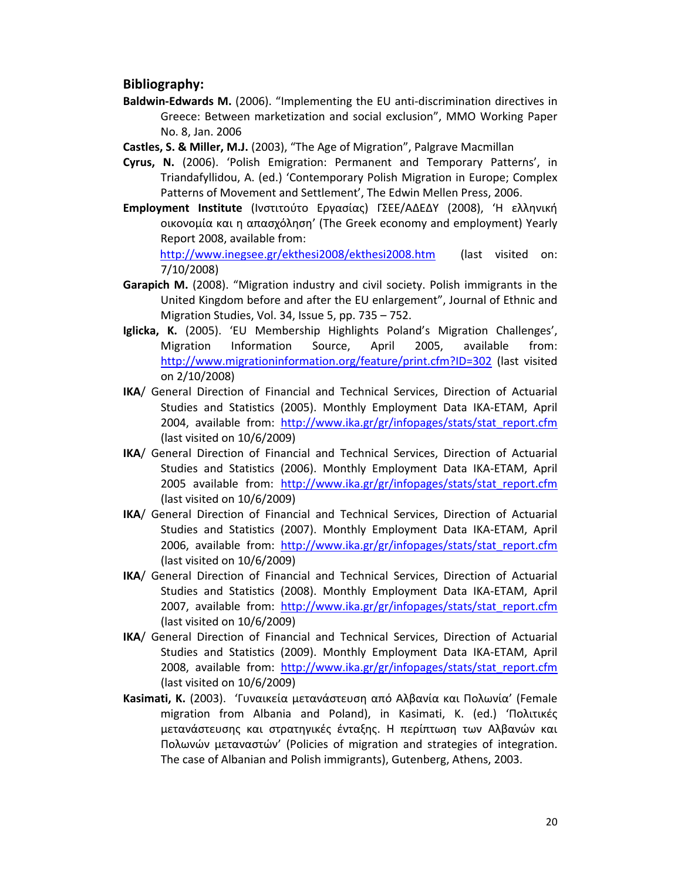## **Bibliography:**

**Baldwin‐Edwards M.** (2006). "Implementing the EU anti‐discrimination directives in Greece: Between marketization and social exclusion", MMO Working Paper No. 8, Jan. 2006

**Castles, S. & Miller, M.J.** (2003), "The Age of Migration", Palgrave Macmillan

- **Cyrus, N.** (2006). 'Polish Emigration: Permanent and Temporary Patterns', in Triandafyllidou, A. (ed.) 'Contemporary Polish Migration in Europe; Complex Patterns of Movement and Settlement', The Edwin Mellen Press, 2006.
- **Employment Institute** (Ινστιτούτο Εργασίας) ΓΣΕΕ/ΑΔΕΔΥ (2008), 'Η ελληνική οικονομία και η απασχόληση' (The Greek economy and employment) Yearly Report 2008, available from:

http://www.inegsee.gr/ekthesi2008/ekthesi2008.htm (last visited on: 7/10/2008)

- **Garapich M.** (2008). "Migration industry and civil society. Polish immigrants in the United Kingdom before and after the EU enlargement", Journal of Ethnic and Migration Studies, Vol. 34, Issue 5, pp. 735 – 752.
- **Iglicka, K.** (2005). 'EU Membership Highlights Poland's Migration Challenges', Migration Information Source, April 2005, available from: http://www.migrationinformation.org/feature/print.cfm?ID=302 (last visited on 2/10/2008)
- **IKA**/ General Direction of Financial and Technical Services, Direction of Actuarial Studies and Statistics (2005). Monthly Employment Data IKA‐ETAM, April 2004, available from: http://www.ika.gr/gr/infopages/stats/stat\_report.cfm (last visited on 10/6/2009)
- **IKA**/ General Direction of Financial and Technical Services, Direction of Actuarial Studies and Statistics (2006). Monthly Employment Data IKA‐ETAM, April 2005 available from: http://www.ika.gr/gr/infopages/stats/stat\_report.cfm (last visited on 10/6/2009)
- **IKA**/ General Direction of Financial and Technical Services, Direction of Actuarial Studies and Statistics (2007). Monthly Employment Data IKA‐ETAM, April 2006, available from: http://www.ika.gr/gr/infopages/stats/stat\_report.cfm (last visited on 10/6/2009)
- **IKA**/ General Direction of Financial and Technical Services, Direction of Actuarial Studies and Statistics (2008). Monthly Employment Data IKA‐ETAM, April 2007, available from: http://www.ika.gr/gr/infopages/stats/stat\_report.cfm (last visited on 10/6/2009)
- **IKA**/ General Direction of Financial and Technical Services, Direction of Actuarial Studies and Statistics (2009). Monthly Employment Data IKA‐ETAM, April 2008, available from: http://www.ika.gr/gr/infopages/stats/stat\_report.cfm (last visited on 10/6/2009)
- **Kasimati, K.** (2003). 'Γυναικεία μετανάστευση από Αλβανία και Πολωνία' (Female migration from Albania and Poland), in Kasimati, K. (ed.) 'Πολιτικές μετανάστευσης και στρατηγικές ένταξης. Η περίπτωση των Αλβανών και Πολωνών μεταναστών' (Policies of migration and strategies of integration. The case of Albanian and Polish immigrants), Gutenberg, Athens, 2003.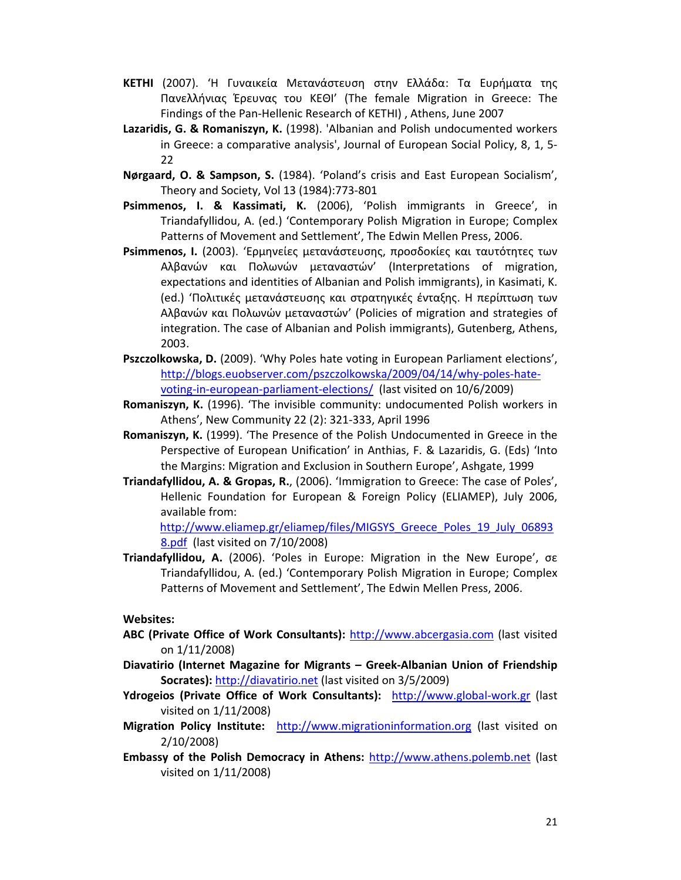- **KETHI** (2007). 'Η Γυναικεία Μετανάστευση στην Ελλάδα: Τα Ευρήματα της Πανελλήνιας Έρευνας του ΚΕΘΙ' (The female Migration in Greece: The Findings of the Pan‐Hellenic Research of KETHI) , Athens, June 2007
- **Lazaridis, G. & Romaniszyn, K.** (1998). 'Albanian and Polish undocumented workers in Greece: a comparative analysis', Journal of European Social Policy, 8, 1, 5‐ 22
- **Nørgaard, O. & Sampson, S.** (1984). 'Poland's crisis and East European Socialism', Theory and Society, Vol 13 (1984):773‐801
- **Psimmenos, I. & Kassimati, K.** (2006), 'Polish immigrants in Greece', in Triandafyllidou, A. (ed.) 'Contemporary Polish Migration in Europe; Complex Patterns of Movement and Settlement', The Edwin Mellen Press, 2006.
- **Psimmenos, I.** (2003). 'Ερμηνείες μετανάστευσης, προσδοκίες και ταυτότητες των Αλβανών και Πολωνών μεταναστών' (Interpretations of migration, expectations and identities of Albanian and Polish immigrants), in Kasimati, K. (ed.) 'Πολιτικές μετανάστευσης και στρατηγικές ένταξης. Η περίπτωση των Αλβανών και Πολωνών μεταναστών' (Policies of migration and strategies of integration. The case of Albanian and Polish immigrants), Gutenberg, Athens, 2003.
- **Pszczolkowska, D.** (2009). 'Why Poles hate voting in European Parliament elections', http://blogs.euobserver.com/pszczolkowska/2009/04/14/why‐poles‐hate‐ voting‐in‐european‐parliament‐elections/ (last visited on 10/6/2009)
- **Romaniszyn, K.** (1996). 'The invisible community: undocumented Polish workers in Athens', New Community 22 (2): 321‐333, April 1996
- **Romaniszyn, K.** (1999). 'The Presence of the Polish Undocumented in Greece in the Perspective of European Unification' in Anthias, F. & Lazaridis, G. (Eds) 'Into the Margins: Migration and Exclusion in Southern Europe', Ashgate, 1999
- **Triandafyllidou, A. & Gropas, R.**, (2006). 'Immigration to Greece: The case of Poles', Hellenic Foundation for European & Foreign Policy (ELIAMEP), July 2006, available from:

http://www.eliamep.gr/eliamep/files/MIGSYS\_Greece\_Poles\_19\_July\_06893 8.pdf (last visited on 7/10/2008)

**Triandafyllidou, A.** (2006). 'Poles in Europe: Migration in the New Europe', σε Triandafyllidou, A. (ed.) 'Contemporary Polish Migration in Europe; Complex Patterns of Movement and Settlement', The Edwin Mellen Press, 2006.

## **Websites:**

- **ABC (Private Office of Work Consultants):** http://www.abcergasia.com (last visited on 1/11/2008)
- **Diavatirio (Internet Magazine for Migrants – Greek‐Albanian Union of Friendship Socrates):** http://diavatirio.net (last visited on 3/5/2009)
- **Ydrogeios (Private Office of Work Consultants):** http://www.global‐work.gr (last visited on 1/11/2008)
- **Migration Policy Institute:**  http://www.migrationinformation.org (last visited on 2/10/2008)
- **Embassy of the Polish Democracy in Athens:** http://www.athens.polemb.net (last visited on 1/11/2008)